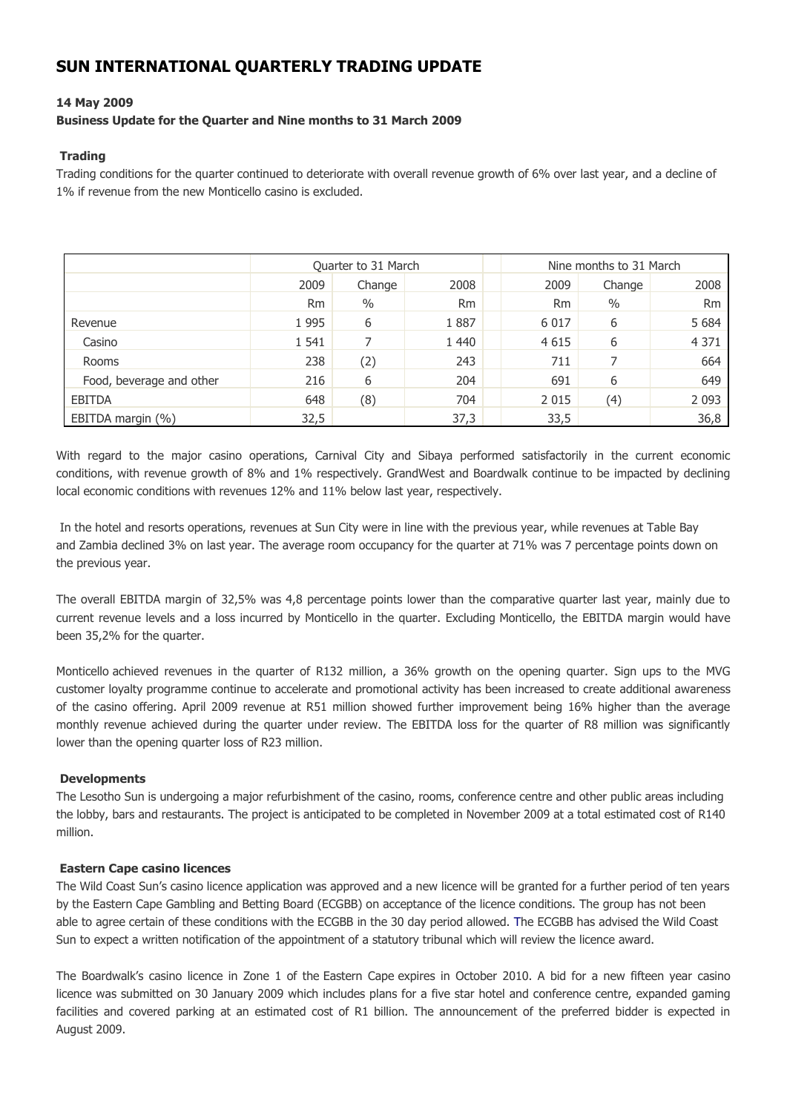# **SUN INTERNATIONAL QUARTERLY TRADING UPDATE**

## **14 May 2009**

## **Business Update for the Quarter and Nine months to 31 March 2009**

#### **Trading**

Trading conditions for the quarter continued to deteriorate with overall revenue growth of 6% over last year, and a decline of 1% if revenue from the new Monticello casino is excluded.

|                          | Quarter to 31 March |        |           |           | Nine months to 31 March |           |  |
|--------------------------|---------------------|--------|-----------|-----------|-------------------------|-----------|--|
|                          | 2009                | Change | 2008      | 2009      | Change                  | 2008      |  |
|                          | <b>Rm</b>           | $\%$   | <b>Rm</b> | <b>Rm</b> | $\frac{0}{0}$           | <b>Rm</b> |  |
| Revenue                  | 1995                | 6      | 1887      | 6 0 1 7   | 6                       | 5 6 8 4   |  |
| Casino                   | 1 541               |        | 1 4 4 0   | 4 6 1 5   | 6                       | 4 3 7 1   |  |
| <b>Rooms</b>             | 238                 | (2)    | 243       | 711       |                         | 664       |  |
| Food, beverage and other | 216                 | 6      | 204       | 691       | 6                       | 649       |  |
| EBITDA                   | 648                 | (8)    | 704       | 2 0 1 5   | (4)                     | 2 0 9 3   |  |
| EBITDA margin (%)        | 32,5                |        | 37,3      | 33,5      |                         | 36,8      |  |

With regard to the major casino operations, Carnival City and Sibaya performed satisfactorily in the current economic conditions, with revenue growth of 8% and 1% respectively. GrandWest and Boardwalk continue to be impacted by declining local economic conditions with revenues 12% and 11% below last year, respectively.

In the hotel and resorts operations, revenues at Sun City were in line with the previous year, while revenues at Table Bay and Zambia declined 3% on last year. The average room occupancy for the quarter at 71% was 7 percentage points down on the previous year.

The overall EBITDA margin of 32,5% was 4,8 percentage points lower than the comparative quarter last year, mainly due to current revenue levels and a loss incurred by Monticello in the quarter. Excluding Monticello, the EBITDA margin would have been 35,2% for the quarter.

Monticello achieved revenues in the quarter of R132 million, a 36% growth on the opening quarter. Sign ups to the MVG customer loyalty programme continue to accelerate and promotional activity has been increased to create additional awareness of the casino offering. April 2009 revenue at R51 million showed further improvement being 16% higher than the average monthly revenue achieved during the quarter under review. The EBITDA loss for the quarter of R8 million was significantly lower than the opening quarter loss of R23 million.

#### **Developments**

The Lesotho Sun is undergoing a major refurbishment of the casino, rooms, conference centre and other public areas including the lobby, bars and restaurants. The project is anticipated to be completed in November 2009 at a total estimated cost of R140 million.

#### **Eastern Cape casino licences**

The Wild Coast Sun's casino licence application was approved and a new licence will be granted for a further period of ten years by the Eastern Cape Gambling and Betting Board (ECGBB) on acceptance of the licence conditions. The group has not been able to agree certain of these conditions with the ECGBB in the 30 day period allowed. The ECGBB has advised the Wild Coast Sun to expect a written notification of the appointment of a statutory tribunal which will review the licence award.

The Boardwalk's casino licence in Zone 1 of the Eastern Cape expires in October 2010. A bid for a new fifteen year casino licence was submitted on 30 January 2009 which includes plans for a five star hotel and conference centre, expanded gaming facilities and covered parking at an estimated cost of R1 billion. The announcement of the preferred bidder is expected in August 2009.